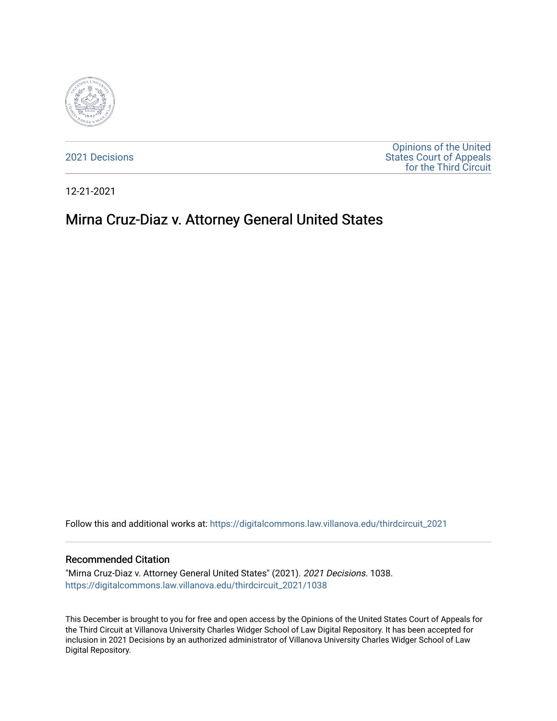

[2021 Decisions](https://digitalcommons.law.villanova.edu/thirdcircuit_2021)

[Opinions of the United](https://digitalcommons.law.villanova.edu/thirdcircuit)  [States Court of Appeals](https://digitalcommons.law.villanova.edu/thirdcircuit)  [for the Third Circuit](https://digitalcommons.law.villanova.edu/thirdcircuit) 

12-21-2021

# Mirna Cruz-Diaz v. Attorney General United States

Follow this and additional works at: [https://digitalcommons.law.villanova.edu/thirdcircuit\\_2021](https://digitalcommons.law.villanova.edu/thirdcircuit_2021?utm_source=digitalcommons.law.villanova.edu%2Fthirdcircuit_2021%2F1038&utm_medium=PDF&utm_campaign=PDFCoverPages) 

#### Recommended Citation

"Mirna Cruz-Diaz v. Attorney General United States" (2021). 2021 Decisions. 1038. [https://digitalcommons.law.villanova.edu/thirdcircuit\\_2021/1038](https://digitalcommons.law.villanova.edu/thirdcircuit_2021/1038?utm_source=digitalcommons.law.villanova.edu%2Fthirdcircuit_2021%2F1038&utm_medium=PDF&utm_campaign=PDFCoverPages) 

This December is brought to you for free and open access by the Opinions of the United States Court of Appeals for the Third Circuit at Villanova University Charles Widger School of Law Digital Repository. It has been accepted for inclusion in 2021 Decisions by an authorized administrator of Villanova University Charles Widger School of Law Digital Repository.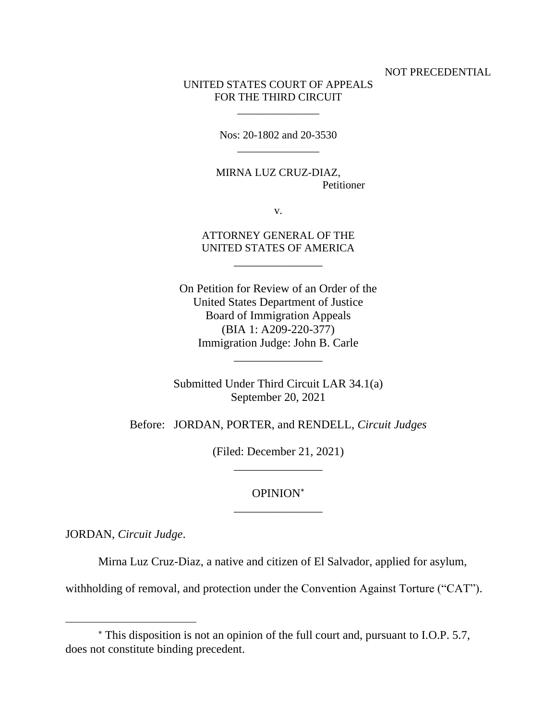NOT PRECEDENTIAL

## UNITED STATES COURT OF APPEALS FOR THE THIRD CIRCUIT

\_\_\_\_\_\_\_\_\_\_\_\_\_\_\_

Nos: 20-1802 and 20-3530  $\overline{\phantom{a}}$  , where  $\overline{\phantom{a}}$ 

MIRNA LUZ CRUZ-DIAZ, Petitioner

v.

ATTORNEY GENERAL OF THE UNITED STATES OF AMERICA

\_\_\_\_\_\_\_\_\_\_\_\_\_\_\_

On Petition for Review of an Order of the United States Department of Justice Board of Immigration Appeals (BIA 1: A209-220-377) Immigration Judge: John B. Carle

Submitted Under Third Circuit LAR 34.1(a) September 20, 2021

\_\_\_\_\_\_\_\_\_\_\_\_\_\_\_

Before: JORDAN, PORTER, and RENDELL, *Circuit Judges*

(Filed: December 21, 2021) \_\_\_\_\_\_\_\_\_\_\_\_\_\_\_

## OPINION \_\_\_\_\_\_\_\_\_\_\_\_\_\_\_

JORDAN, *Circuit Judge*.

Mirna Luz Cruz-Diaz, a native and citizen of El Salvador, applied for asylum,

withholding of removal, and protection under the Convention Against Torture ("CAT").

This disposition is not an opinion of the full court and, pursuant to I.O.P. 5.7, does not constitute binding precedent.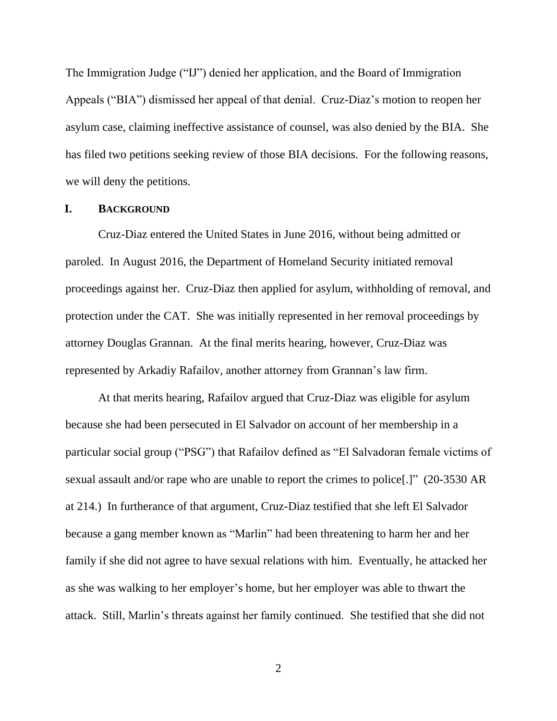The Immigration Judge ("IJ") denied her application, and the Board of Immigration Appeals ("BIA") dismissed her appeal of that denial. Cruz-Diaz's motion to reopen her asylum case, claiming ineffective assistance of counsel, was also denied by the BIA. She has filed two petitions seeking review of those BIA decisions. For the following reasons, we will deny the petitions.

#### **I. BACKGROUND**

Cruz-Diaz entered the United States in June 2016, without being admitted or paroled. In August 2016, the Department of Homeland Security initiated removal proceedings against her. Cruz-Diaz then applied for asylum, withholding of removal, and protection under the CAT. She was initially represented in her removal proceedings by attorney Douglas Grannan. At the final merits hearing, however, Cruz-Diaz was represented by Arkadiy Rafailov, another attorney from Grannan's law firm.

At that merits hearing, Rafailov argued that Cruz-Diaz was eligible for asylum because she had been persecuted in El Salvador on account of her membership in a particular social group ("PSG") that Rafailov defined as "El Salvadoran female victims of sexual assault and/or rape who are unable to report the crimes to police[.]" (20-3530 AR at 214.) In furtherance of that argument, Cruz-Diaz testified that she left El Salvador because a gang member known as "Marlin" had been threatening to harm her and her family if she did not agree to have sexual relations with him. Eventually, he attacked her as she was walking to her employer's home, but her employer was able to thwart the attack. Still, Marlin's threats against her family continued. She testified that she did not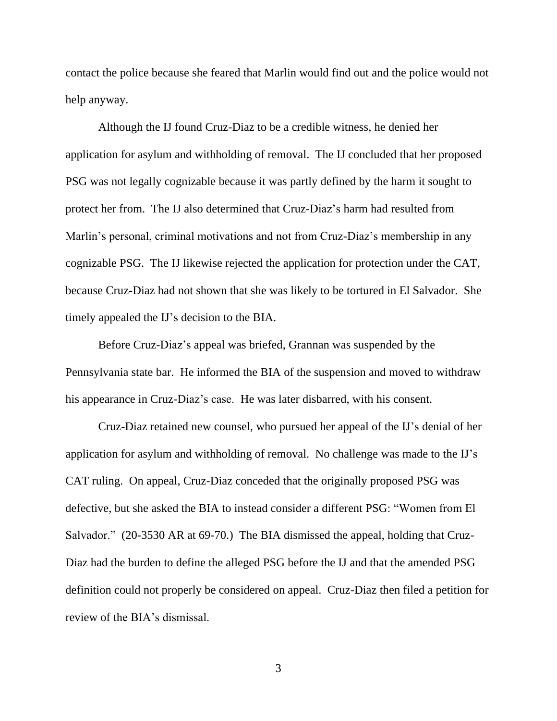contact the police because she feared that Marlin would find out and the police would not help anyway.

Although the IJ found Cruz-Diaz to be a credible witness, he denied her application for asylum and withholding of removal. The IJ concluded that her proposed PSG was not legally cognizable because it was partly defined by the harm it sought to protect her from. The IJ also determined that Cruz-Diaz's harm had resulted from Marlin's personal, criminal motivations and not from Cruz-Diaz's membership in any cognizable PSG. The IJ likewise rejected the application for protection under the CAT, because Cruz-Diaz had not shown that she was likely to be tortured in El Salvador. She timely appealed the IJ's decision to the BIA.

Before Cruz-Diaz's appeal was briefed, Grannan was suspended by the Pennsylvania state bar. He informed the BIA of the suspension and moved to withdraw his appearance in Cruz-Diaz's case. He was later disbarred, with his consent.

Cruz-Diaz retained new counsel, who pursued her appeal of the IJ's denial of her application for asylum and withholding of removal. No challenge was made to the IJ's CAT ruling. On appeal, Cruz-Diaz conceded that the originally proposed PSG was defective, but she asked the BIA to instead consider a different PSG: "Women from El Salvador." (20-3530 AR at 69-70.)The BIA dismissed the appeal, holding that Cruz-Diaz had the burden to define the alleged PSG before the IJ and that the amended PSG definition could not properly be considered on appeal. Cruz-Diaz then filed a petition for review of the BIA's dismissal.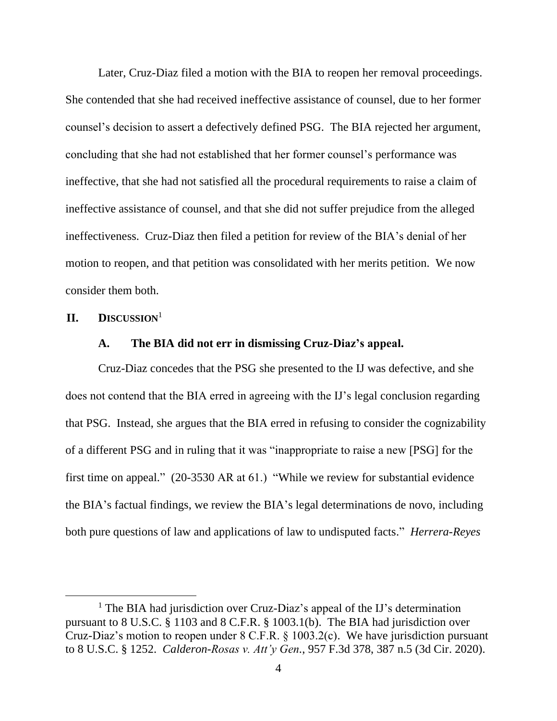Later, Cruz-Diaz filed a motion with the BIA to reopen her removal proceedings. She contended that she had received ineffective assistance of counsel, due to her former counsel's decision to assert a defectively defined PSG. The BIA rejected her argument, concluding that she had not established that her former counsel's performance was ineffective, that she had not satisfied all the procedural requirements to raise a claim of ineffective assistance of counsel, and that she did not suffer prejudice from the alleged ineffectiveness. Cruz-Diaz then filed a petition for review of the BIA's denial of her motion to reopen, and that petition was consolidated with her merits petition. We now consider them both.

#### **II. DISCUSSION**<sup>1</sup>

## **A. The BIA did not err in dismissing Cruz-Diaz's appeal.**

Cruz-Diaz concedes that the PSG she presented to the IJ was defective, and she does not contend that the BIA erred in agreeing with the IJ's legal conclusion regarding that PSG. Instead, she argues that the BIA erred in refusing to consider the cognizability of a different PSG and in ruling that it was "inappropriate to raise a new [PSG] for the first time on appeal." (20-3530 AR at 61.) "While we review for substantial evidence the BIA's factual findings, we review the BIA's legal determinations de novo, including both pure questions of law and applications of law to undisputed facts." *Herrera-Reyes* 

<sup>&</sup>lt;sup>1</sup> The BIA had jurisdiction over Cruz-Diaz's appeal of the IJ's determination pursuant to 8 U.S.C. § 1103 and 8 C.F.R. § 1003.1(b). The BIA had jurisdiction over Cruz-Diaz's motion to reopen under 8 C.F.R. § 1003.2(c). We have jurisdiction pursuant to 8 U.S.C. § 1252. *Calderon-Rosas v. Att'y Gen.*, 957 F.3d 378, 387 n.5 (3d Cir. 2020).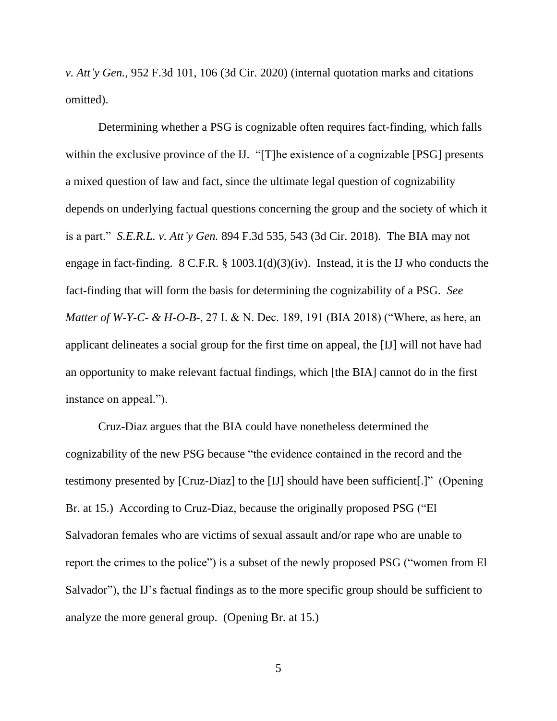*v. Att'y Gen.*, 952 F.3d 101, 106 (3d Cir. 2020) (internal quotation marks and citations omitted).

Determining whether a PSG is cognizable often requires fact-finding, which falls within the exclusive province of the IJ. "[T]he existence of a cognizable [PSG] presents a mixed question of law and fact, since the ultimate legal question of cognizability depends on underlying factual questions concerning the group and the society of which it is a part." *S.E.R.L. v. Att'y Gen.* 894 F.3d 535, 543 (3d Cir. 2018). The BIA may not engage in fact-finding. 8 C.F.R. § 1003.1(d)(3)(iv). Instead, it is the IJ who conducts the fact-finding that will form the basis for determining the cognizability of a PSG. *See Matter of W-Y-C- & H-O-B-*, 27 I. & N. Dec. 189, 191 (BIA 2018) ("Where, as here, an applicant delineates a social group for the first time on appeal, the [IJ] will not have had an opportunity to make relevant factual findings, which [the BIA] cannot do in the first instance on appeal.").

Cruz-Diaz argues that the BIA could have nonetheless determined the cognizability of the new PSG because "the evidence contained in the record and the testimony presented by [Cruz-Diaz] to the [IJ] should have been sufficient[.]" (Opening Br. at 15.) According to Cruz-Diaz, because the originally proposed PSG ("El Salvadoran females who are victims of sexual assault and/or rape who are unable to report the crimes to the police") is a subset of the newly proposed PSG ("women from El Salvador"), the IJ's factual findings as to the more specific group should be sufficient to analyze the more general group. (Opening Br. at 15.)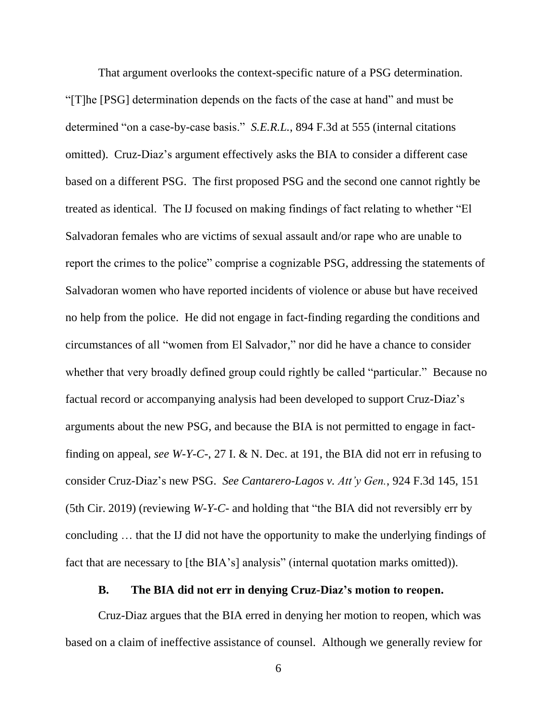That argument overlooks the context-specific nature of a PSG determination. "[T]he [PSG] determination depends on the facts of the case at hand" and must be determined "on a case-by-case basis." *S.E.R.L.*, 894 F.3d at 555 (internal citations omitted). Cruz-Diaz's argument effectively asks the BIA to consider a different case based on a different PSG. The first proposed PSG and the second one cannot rightly be treated as identical. The IJ focused on making findings of fact relating to whether "El Salvadoran females who are victims of sexual assault and/or rape who are unable to report the crimes to the police" comprise a cognizable PSG, addressing the statements of Salvadoran women who have reported incidents of violence or abuse but have received no help from the police. He did not engage in fact-finding regarding the conditions and circumstances of all "women from El Salvador," nor did he have a chance to consider whether that very broadly defined group could rightly be called "particular." Because no factual record or accompanying analysis had been developed to support Cruz-Diaz's arguments about the new PSG, and because the BIA is not permitted to engage in factfinding on appeal, *see W-Y-C-*, 27 I. & N. Dec. at 191, the BIA did not err in refusing to consider Cruz-Diaz's new PSG. *See Cantarero-Lagos v. Att'y Gen.*, 924 F.3d 145, 151 (5th Cir. 2019) (reviewing *W-Y-C-* and holding that "the BIA did not reversibly err by concluding … that the IJ did not have the opportunity to make the underlying findings of fact that are necessary to [the BIA's] analysis" (internal quotation marks omitted)).

## **B. The BIA did not err in denying Cruz-Diaz's motion to reopen.**

Cruz-Diaz argues that the BIA erred in denying her motion to reopen, which was based on a claim of ineffective assistance of counsel. Although we generally review for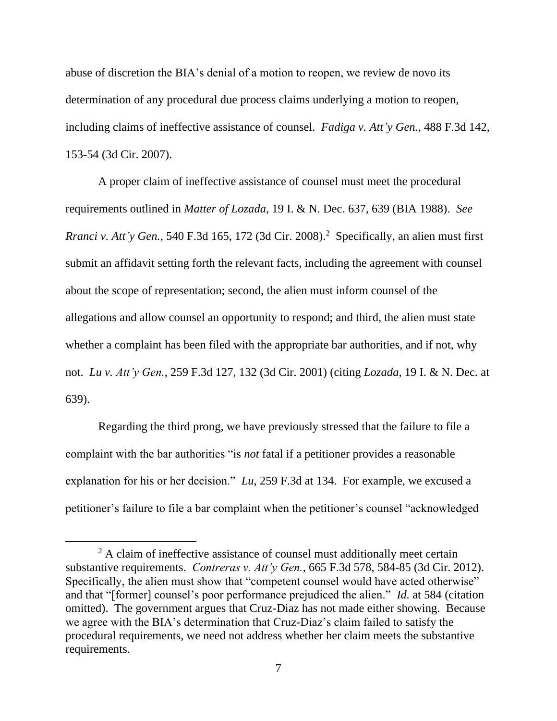abuse of discretion the BIA's denial of a motion to reopen, we review de novo its determination of any procedural due process claims underlying a motion to reopen, including claims of ineffective assistance of counsel. *Fadiga v. Att'y Gen.*, 488 F.3d 142, 153-54 (3d Cir. 2007).

A proper claim of ineffective assistance of counsel must meet the procedural requirements outlined in *Matter of Lozada*, 19 I. & N. Dec. 637, 639 (BIA 1988). *See Rranci v. Att'y Gen.*, 540 F.3d 165, 172 (3d Cir. 2008). <sup>2</sup> Specifically, an alien must first submit an affidavit setting forth the relevant facts, including the agreement with counsel about the scope of representation; second, the alien must inform counsel of the allegations and allow counsel an opportunity to respond; and third, the alien must state whether a complaint has been filed with the appropriate bar authorities, and if not, why not. *Lu v. Att'y Gen.*, 259 F.3d 127, 132 (3d Cir. 2001) (citing *Lozada*, 19 I. & N. Dec. at 639).

Regarding the third prong, we have previously stressed that the failure to file a complaint with the bar authorities "is *not* fatal if a petitioner provides a reasonable explanation for his or her decision." *Lu*, 259 F.3d at 134. For example, we excused a petitioner's failure to file a bar complaint when the petitioner's counsel "acknowledged

<sup>&</sup>lt;sup>2</sup> A claim of ineffective assistance of counsel must additionally meet certain substantive requirements. *Contreras v. Att'y Gen.*, 665 F.3d 578, 584-85 (3d Cir. 2012). Specifically, the alien must show that "competent counsel would have acted otherwise" and that "[former] counsel's poor performance prejudiced the alien." *Id.* at 584 (citation omitted). The government argues that Cruz-Diaz has not made either showing. Because we agree with the BIA's determination that Cruz-Diaz's claim failed to satisfy the procedural requirements, we need not address whether her claim meets the substantive requirements.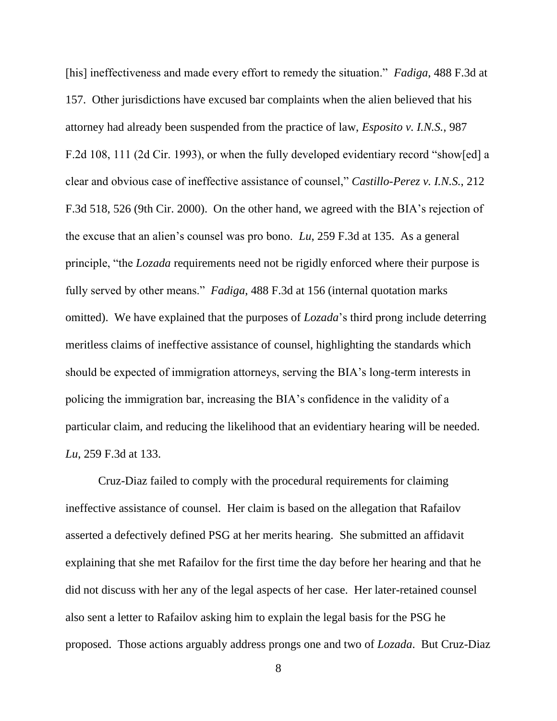[his] ineffectiveness and made every effort to remedy the situation." *Fadiga*, 488 F.3d at 157. Other jurisdictions have excused bar complaints when the alien believed that his attorney had already been suspended from the practice of law, *Esposito v. I.N.S.*, 987 F.2d 108, 111 (2d Cir. 1993), or when the fully developed evidentiary record "show[ed] a clear and obvious case of ineffective assistance of counsel," *Castillo-Perez v. I.N.S.*, 212 F.3d 518, 526 (9th Cir. 2000). On the other hand, we agreed with the BIA's rejection of the excuse that an alien's counsel was pro bono. *Lu*, 259 F.3d at 135. As a general principle, "the *Lozada* requirements need not be rigidly enforced where their purpose is fully served by other means." *Fadiga*, 488 F.3d at 156 (internal quotation marks omitted). We have explained that the purposes of *Lozada*'s third prong include deterring meritless claims of ineffective assistance of counsel, highlighting the standards which should be expected of immigration attorneys, serving the BIA's long-term interests in policing the immigration bar, increasing the BIA's confidence in the validity of a particular claim, and reducing the likelihood that an evidentiary hearing will be needed. *Lu*, 259 F.3d at 133.

Cruz-Diaz failed to comply with the procedural requirements for claiming ineffective assistance of counsel. Her claim is based on the allegation that Rafailov asserted a defectively defined PSG at her merits hearing. She submitted an affidavit explaining that she met Rafailov for the first time the day before her hearing and that he did not discuss with her any of the legal aspects of her case. Her later-retained counsel also sent a letter to Rafailov asking him to explain the legal basis for the PSG he proposed. Those actions arguably address prongs one and two of *Lozada*. But Cruz-Diaz